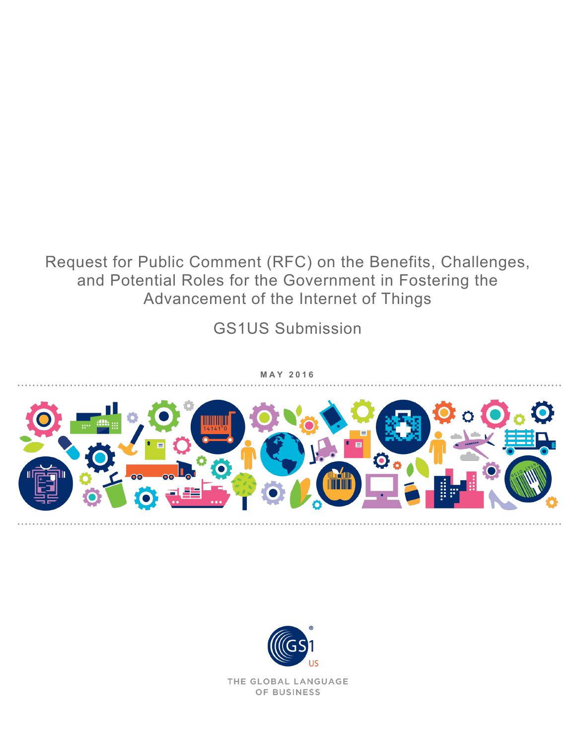# Request for Public Comment (RFC) on the Benefits, Challenges, and Potential Roles for the Government in Fostering the Advancement of the Internet of Things

GS1US Submission

**MAY 2016**





THE GLOBAL LANGUAGE OF BUSINESS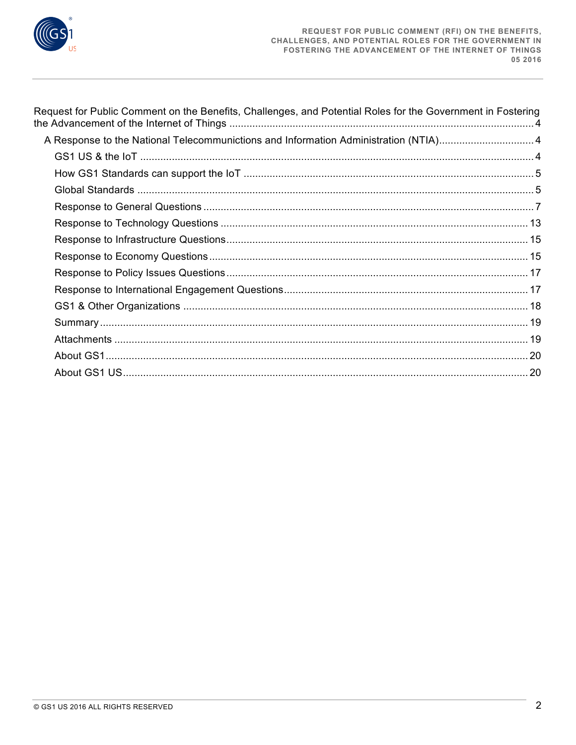

| Request for Public Comment on the Benefits, Challenges, and Potential Roles for the Government in Fostering |  |
|-------------------------------------------------------------------------------------------------------------|--|
| A Response to the National Telecommunictions and Information Administration (NTIA)4                         |  |
|                                                                                                             |  |
|                                                                                                             |  |
|                                                                                                             |  |
|                                                                                                             |  |
|                                                                                                             |  |
|                                                                                                             |  |
|                                                                                                             |  |
|                                                                                                             |  |
|                                                                                                             |  |
|                                                                                                             |  |
|                                                                                                             |  |
|                                                                                                             |  |
|                                                                                                             |  |
|                                                                                                             |  |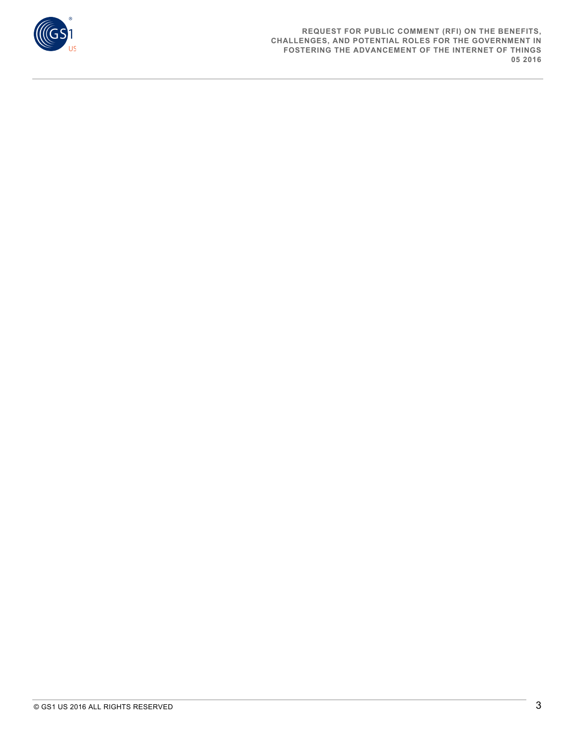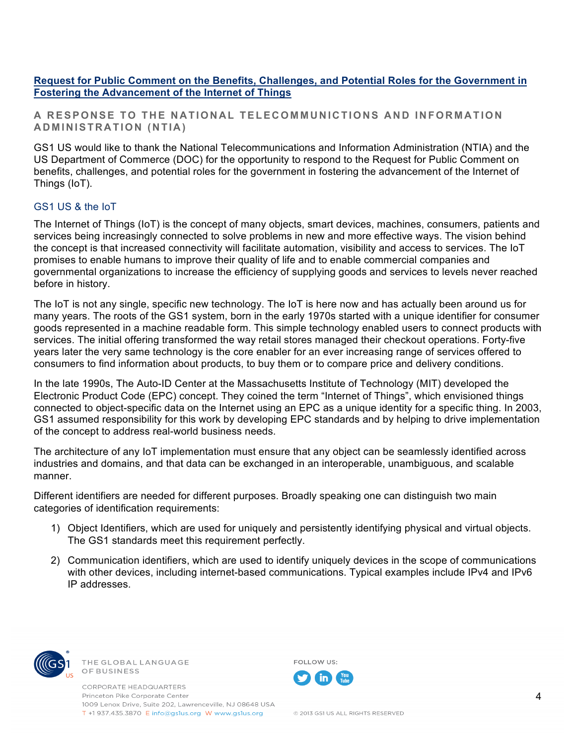**Request for Public Comment on the Benefits, Challenges, and Potential Roles for the Government in Fostering the Advancement of the Internet of Things**

**A RESPONSE TO THE NATIONAL TELECOMMUNICTIONS AND INFORMATION ADMINISTRATION ( NTIA )**

GS1 US would like to thank the National Telecommunications and Information Administration (NTIA) and the US Department of Commerce (DOC) for the opportunity to respond to the Request for Public Comment on benefits, challenges, and potential roles for the government in fostering the advancement of the Internet of Things (IoT).

# GS1 US & the IoT

The Internet of Things (IoT) is the concept of many objects, smart devices, machines, consumers, patients and services being increasingly connected to solve problems in new and more effective ways. The vision behind the concept is that increased connectivity will facilitate automation, visibility and access to services. The IoT promises to enable humans to improve their quality of life and to enable commercial companies and governmental organizations to increase the efficiency of supplying goods and services to levels never reached before in history.

The IoT is not any single, specific new technology. The IoT is here now and has actually been around us for many years. The roots of the GS1 system, born in the early 1970s started with a unique identifier for consumer goods represented in a machine readable form. This simple technology enabled users to connect products with services. The initial offering transformed the way retail stores managed their checkout operations. Forty-five years later the very same technology is the core enabler for an ever increasing range of services offered to consumers to find information about products, to buy them or to compare price and delivery conditions.

In the late 1990s, The Auto-ID Center at the Massachusetts Institute of Technology (MIT) developed the Electronic Product Code (EPC) concept. They coined the term "Internet of Things", which envisioned things connected to object-specific data on the Internet using an EPC as a unique identity for a specific thing. In 2003, GS1 assumed responsibility for this work by developing EPC standards and by helping to drive implementation of the concept to address real-world business needs.

The architecture of any IoT implementation must ensure that any object can be seamlessly identified across industries and domains, and that data can be exchanged in an interoperable, unambiguous, and scalable manner.

Different identifiers are needed for different purposes. Broadly speaking one can distinguish two main categories of identification requirements:

- 1) Object Identifiers, which are used for uniquely and persistently identifying physical and virtual objects. The GS1 standards meet this requirement perfectly.
- 2) Communication identifiers, which are used to identify uniquely devices in the scope of communications with other devices, including internet-based communications. Typical examples include IPv4 and IPv6 IP addresses.



THE GLOBAL LANGUAGE **OFBUSINESS** 

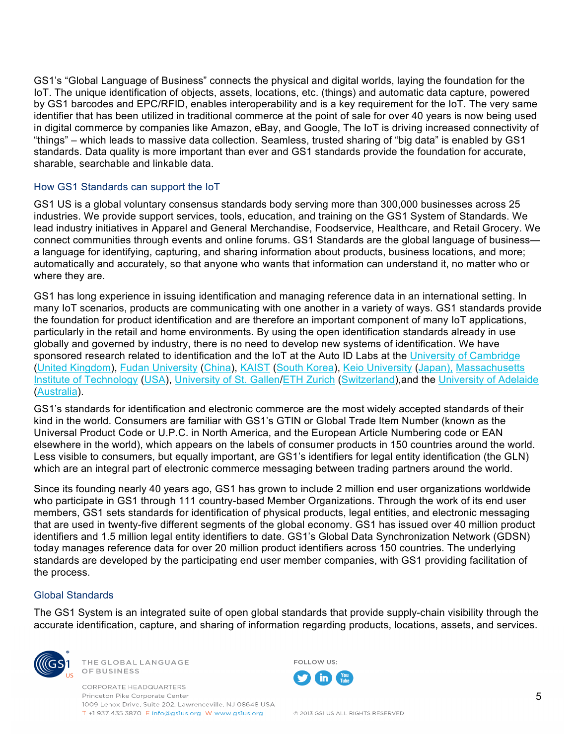GS1's "Global Language of Business" connects the physical and digital worlds, laying the foundation for the IoT. The unique identification of objects, assets, locations, etc. (things) and automatic data capture, powered by GS1 barcodes and EPC/RFID, enables interoperability and is a key requirement for the IoT. The very same identifier that has been utilized in traditional commerce at the point of sale for over 40 years is now being used in digital commerce by companies like Amazon, eBay, and Google, The IoT is driving increased connectivity of "things" – which leads to massive data collection. Seamless, trusted sharing of "big data" is enabled by GS1 standards. Data quality is more important than ever and GS1 standards provide the foundation for accurate, sharable, searchable and linkable data.

## How GS1 Standards can support the IoT

GS1 US is a global voluntary consensus standards body serving more than 300,000 businesses across 25 industries. We provide support services, tools, education, and training on the GS1 System of Standards. We lead industry initiatives in Apparel and General Merchandise, Foodservice, Healthcare, and Retail Grocery. We connect communities through events and online forums. GS1 Standards are the global language of business a language for identifying, capturing, and sharing information about products, business locations, and more; automatically and accurately, so that anyone who wants that information can understand it, no matter who or where they are.

GS1 has long experience in issuing identification and managing reference data in an international setting. In many IoT scenarios, products are communicating with one another in a variety of ways. GS1 standards provide the foundation for product identification and are therefore an important component of many IoT applications, particularly in the retail and home environments. By using the open identification standards already in use globally and governed by industry, there is no need to develop new systems of identification. We have sponsored research related to identification and the IoT at the Auto ID Labs at the University of Cambridge (United Kingdom), Fudan University (China), KAIST (South Korea), Keio University (Japan), Massachusetts Institute of Technology (USA), University of St. Gallen/ETH Zurich (Switzerland),and the University of Adelaide (Australia).

GS1's standards for identification and electronic commerce are the most widely accepted standards of their kind in the world. Consumers are familiar with GS1's GTIN or Global Trade Item Number (known as the Universal Product Code or U.P.C. in North America, and the European Article Numbering code or EAN elsewhere in the world), which appears on the labels of consumer products in 150 countries around the world. Less visible to consumers, but equally important, are GS1's identifiers for legal entity identification (the GLN) which are an integral part of electronic commerce messaging between trading partners around the world.

Since its founding nearly 40 years ago, GS1 has grown to include 2 million end user organizations worldwide who participate in GS1 through 111 country-based Member Organizations. Through the work of its end user members, GS1 sets standards for identification of physical products, legal entities, and electronic messaging that are used in twenty-five different segments of the global economy. GS1 has issued over 40 million product identifiers and 1.5 million legal entity identifiers to date. GS1's Global Data Synchronization Network (GDSN) today manages reference data for over 20 million product identifiers across 150 countries. The underlying standards are developed by the participating end user member companies, with GS1 providing facilitation of the process.

## Global Standards

The GS1 System is an integrated suite of open global standards that provide supply-chain visibility through the accurate identification, capture, and sharing of information regarding products, locations, assets, and services.



THE GLOBAL LANGUAGE **OFBUSINESS** 

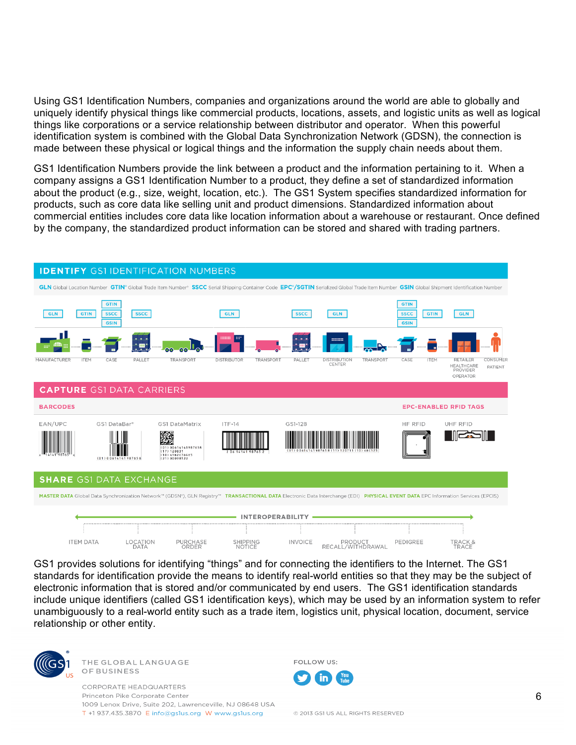Using GS1 Identification Numbers, companies and organizations around the world are able to globally and uniquely identify physical things like commercial products, locations, assets, and logistic units as well as logical things like corporations or a service relationship between distributor and operator. When this powerful identification system is combined with the Global Data Synchronization Network (GDSN), the connection is made between these physical or logical things and the information the supply chain needs about them.

GS1 Identification Numbers provide the link between a product and the information pertaining to it. When a company assigns a GS1 Identification Number to a product, they define a set of standardized information about the product (e.g., size, weight, location, etc.). The GS1 System specifies standardized information for products, such as core data like selling unit and product dimensions. Standardized information about commercial entities includes core data like location information about a warehouse or restaurant. Once defined by the company, the standardized product information can be stored and shared with trading partners.



GS1 provides solutions for identifying "things" and for connecting the identifiers to the Internet. The GS1 standards for identification provide the means to identify real-world entities so that they may be the subject of electronic information that is stored and/or communicated by end users. The GS1 identification standards include unique identifiers (called GS1 identification keys), which may be used by an information system to refer unambiguously to a real-world entity such as a trade item, logistics unit, physical location, document, service relationship or other entity.



THE GLOBAL LANGUAGE **OFBUSINESS** 

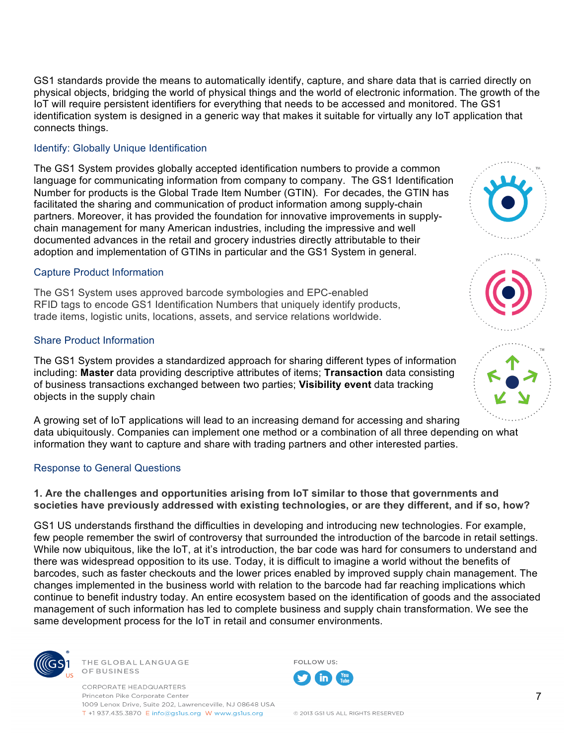GS1 standards provide the means to automatically identify, capture, and share data that is carried directly on physical objects, bridging the world of physical things and the world of electronic information. The growth of the IoT will require persistent identifiers for everything that needs to be accessed and monitored. The GS1 identification system is designed in a generic way that makes it suitable for virtually any IoT application that connects things.

# Identify: Globally Unique Identification

The GS1 System provides globally accepted identification numbers to provide a common language for communicating information from company to company. The GS1 Identification Number for products is the Global Trade Item Number (GTIN). For decades, the GTIN has facilitated the sharing and communication of product information among supply-chain partners. Moreover, it has provided the foundation for innovative improvements in supplychain management for many American industries, including the impressive and well documented advances in the retail and grocery industries directly attributable to their adoption and implementation of GTINs in particular and the GS1 System in general.

# Capture Product Information

The GS1 System uses approved barcode symbologies and EPC-enabled RFID tags to encode GS1 Identification Numbers that uniquely identify products, trade items, logistic units, locations, assets, and service relations worldwide.

## Share Product Information

The GS1 System provides a standardized approach for sharing different types of information including: **Master** data providing descriptive attributes of items; **Transaction** data consisting of business transactions exchanged between two parties; **Visibility event** data tracking objects in the supply chain

A growing set of IoT applications will lead to an increasing demand for accessing and sharing data ubiquitously. Companies can implement one method or a combination of all three depending on what information they want to capture and share with trading partners and other interested parties.

## Response to General Questions

## **1. Are the challenges and opportunities arising from IoT similar to those that governments and societies have previously addressed with existing technologies, or are they different, and if so, how?**

GS1 US understands firsthand the difficulties in developing and introducing new technologies. For example, few people remember the swirl of controversy that surrounded the introduction of the barcode in retail settings. While now ubiquitous, like the IoT, at it's introduction, the bar code was hard for consumers to understand and there was widespread opposition to its use. Today, it is difficult to imagine a world without the benefits of barcodes, such as faster checkouts and the lower prices enabled by improved supply chain management. The changes implemented in the business world with relation to the barcode had far reaching implications which continue to benefit industry today. An entire ecosystem based on the identification of goods and the associated management of such information has led to complete business and supply chain transformation. We see the same development process for the IoT in retail and consumer environments.



THE GLOBAL LANGUAGE **OFBUSINESS** 







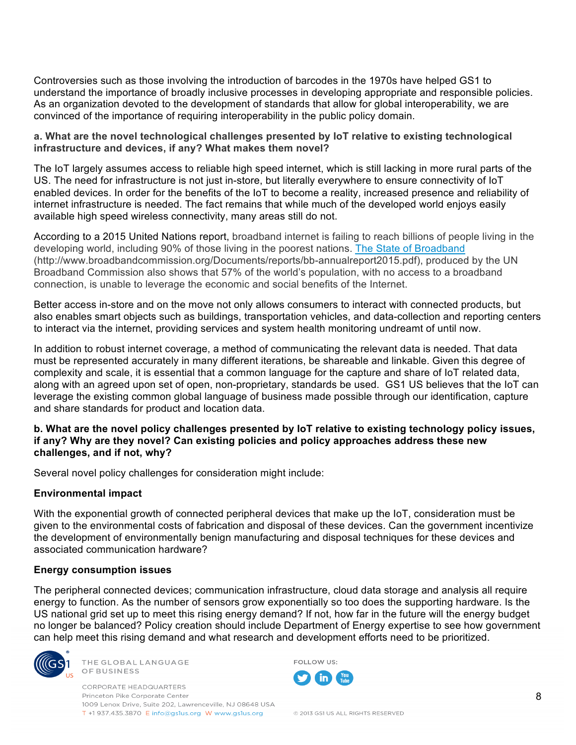Controversies such as those involving the introduction of barcodes in the 1970s have helped GS1 to understand the importance of broadly inclusive processes in developing appropriate and responsible policies. As an organization devoted to the development of standards that allow for global interoperability, we are convinced of the importance of requiring interoperability in the public policy domain.

#### **a. What are the novel technological challenges presented by IoT relative to existing technological infrastructure and devices, if any? What makes them novel?**

The IoT largely assumes access to reliable high speed internet, which is still lacking in more rural parts of the US. The need for infrastructure is not just in-store, but literally everywhere to ensure connectivity of IoT enabled devices. In order for the benefits of the IoT to become a reality, increased presence and reliability of internet infrastructure is needed. The fact remains that while much of the developed world enjoys easily available high speed wireless connectivity, many areas still do not.

According to a 2015 United Nations report, broadband internet is failing to reach billions of people living in the developing world, including 90% of those living in the poorest nations. The State of Broadband (http://www.broadbandcommission.org/Documents/reports/bb-annualreport2015.pdf), produced by the UN Broadband Commission also shows that 57% of the world's population, with no access to a broadband connection, is unable to leverage the economic and social benefits of the Internet.

Better access in-store and on the move not only allows consumers to interact with connected products, but also enables smart objects such as buildings, transportation vehicles, and data-collection and reporting centers to interact via the internet, providing services and system health monitoring undreamt of until now.

In addition to robust internet coverage, a method of communicating the relevant data is needed. That data must be represented accurately in many different iterations, be shareable and linkable. Given this degree of complexity and scale, it is essential that a common language for the capture and share of IoT related data, along with an agreed upon set of open, non-proprietary, standards be used. GS1 US believes that the IoT can leverage the existing common global language of business made possible through our identification, capture and share standards for product and location data.

#### **b. What are the novel policy challenges presented by IoT relative to existing technology policy issues, if any? Why are they novel? Can existing policies and policy approaches address these new challenges, and if not, why?**

Several novel policy challenges for consideration might include:

## **Environmental impact**

With the exponential growth of connected peripheral devices that make up the IoT, consideration must be given to the environmental costs of fabrication and disposal of these devices. Can the government incentivize the development of environmentally benign manufacturing and disposal techniques for these devices and associated communication hardware?

#### **Energy consumption issues**

The peripheral connected devices; communication infrastructure, cloud data storage and analysis all require energy to function. As the number of sensors grow exponentially so too does the supporting hardware. Is the US national grid set up to meet this rising energy demand? If not, how far in the future will the energy budget no longer be balanced? Policy creation should include Department of Energy expertise to see how government can help meet this rising demand and what research and development efforts need to be prioritized.



THE GLOBAL LANGUAGE **OFBUSINESS** 



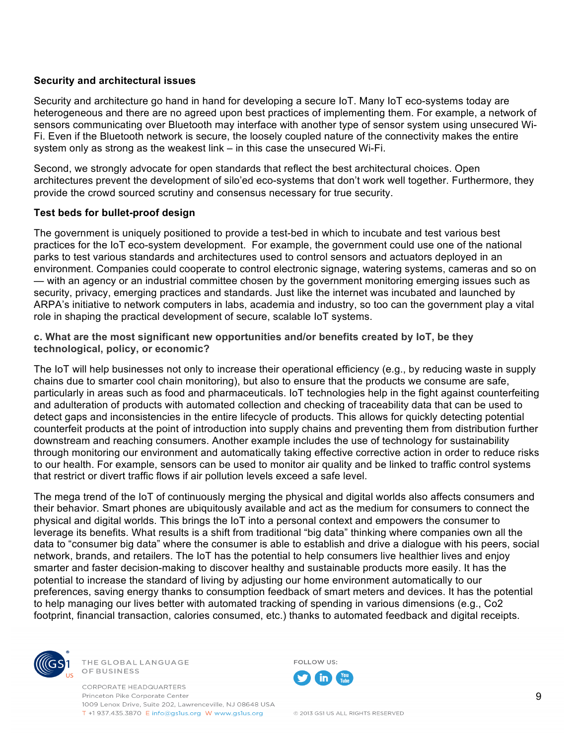## **Security and architectural issues**

Security and architecture go hand in hand for developing a secure IoT. Many IoT eco-systems today are heterogeneous and there are no agreed upon best practices of implementing them. For example, a network of sensors communicating over Bluetooth may interface with another type of sensor system using unsecured Wi-Fi. Even if the Bluetooth network is secure, the loosely coupled nature of the connectivity makes the entire system only as strong as the weakest link – in this case the unsecured Wi-Fi.

Second, we strongly advocate for open standards that reflect the best architectural choices. Open architectures prevent the development of silo'ed eco-systems that don't work well together. Furthermore, they provide the crowd sourced scrutiny and consensus necessary for true security.

#### **Test beds for bullet-proof design**

The government is uniquely positioned to provide a test-bed in which to incubate and test various best practices for the IoT eco-system development. For example, the government could use one of the national parks to test various standards and architectures used to control sensors and actuators deployed in an environment. Companies could cooperate to control electronic signage, watering systems, cameras and so on — with an agency or an industrial committee chosen by the government monitoring emerging issues such as security, privacy, emerging practices and standards. Just like the internet was incubated and launched by ARPA's initiative to network computers in labs, academia and industry, so too can the government play a vital role in shaping the practical development of secure, scalable IoT systems.

#### **c. What are the most significant new opportunities and/or benefits created by IoT, be they technological, policy, or economic?**

The IoT will help businesses not only to increase their operational efficiency (e.g., by reducing waste in supply chains due to smarter cool chain monitoring), but also to ensure that the products we consume are safe, particularly in areas such as food and pharmaceuticals. IoT technologies help in the fight against counterfeiting and adulteration of products with automated collection and checking of traceability data that can be used to detect gaps and inconsistencies in the entire lifecycle of products. This allows for quickly detecting potential counterfeit products at the point of introduction into supply chains and preventing them from distribution further downstream and reaching consumers. Another example includes the use of technology for sustainability through monitoring our environment and automatically taking effective corrective action in order to reduce risks to our health. For example, sensors can be used to monitor air quality and be linked to traffic control systems that restrict or divert traffic flows if air pollution levels exceed a safe level.

The mega trend of the IoT of continuously merging the physical and digital worlds also affects consumers and their behavior. Smart phones are ubiquitously available and act as the medium for consumers to connect the physical and digital worlds. This brings the IoT into a personal context and empowers the consumer to leverage its benefits. What results is a shift from traditional "big data" thinking where companies own all the data to "consumer big data" where the consumer is able to establish and drive a dialogue with his peers, social network, brands, and retailers. The IoT has the potential to help consumers live healthier lives and enjoy smarter and faster decision-making to discover healthy and sustainable products more easily. It has the potential to increase the standard of living by adjusting our home environment automatically to our preferences, saving energy thanks to consumption feedback of smart meters and devices. It has the potential to help managing our lives better with automated tracking of spending in various dimensions (e.g., Co2 footprint, financial transaction, calories consumed, etc.) thanks to automated feedback and digital receipts.



THE GLOBAL LANGUAGE **OFBUSINESS** 

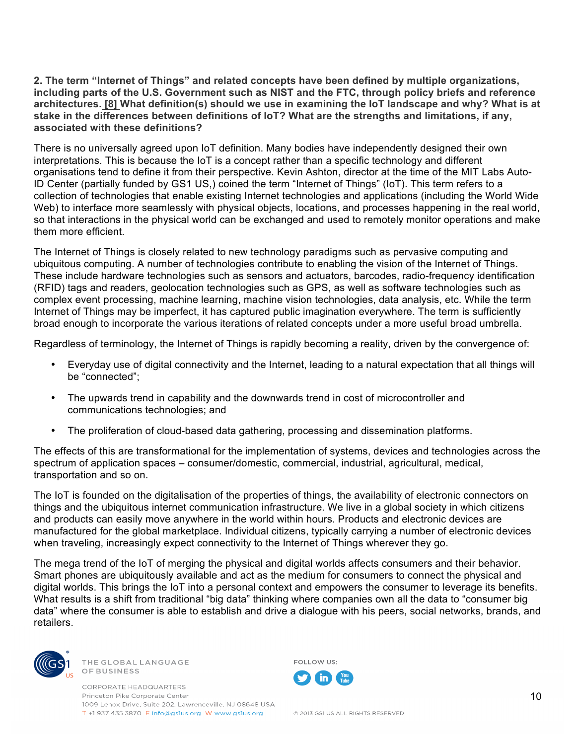**2. The term "Internet of Things" and related concepts have been defined by multiple organizations, including parts of the U.S. Government such as NIST and the FTC, through policy briefs and reference architectures. [8] What definition(s) should we use in examining the IoT landscape and why? What is at stake in the differences between definitions of IoT? What are the strengths and limitations, if any, associated with these definitions?**

There is no universally agreed upon IoT definition. Many bodies have independently designed their own interpretations. This is because the IoT is a concept rather than a specific technology and different organisations tend to define it from their perspective. Kevin Ashton, director at the time of the MIT Labs Auto-ID Center (partially funded by GS1 US,) coined the term "Internet of Things" (IoT). This term refers to a collection of technologies that enable existing Internet technologies and applications (including the World Wide Web) to interface more seamlessly with physical objects, locations, and processes happening in the real world, so that interactions in the physical world can be exchanged and used to remotely monitor operations and make them more efficient.

The Internet of Things is closely related to new technology paradigms such as pervasive computing and ubiquitous computing. A number of technologies contribute to enabling the vision of the Internet of Things. These include hardware technologies such as sensors and actuators, barcodes, radio-frequency identification (RFID) tags and readers, geolocation technologies such as GPS, as well as software technologies such as complex event processing, machine learning, machine vision technologies, data analysis, etc. While the term Internet of Things may be imperfect, it has captured public imagination everywhere. The term is sufficiently broad enough to incorporate the various iterations of related concepts under a more useful broad umbrella.

Regardless of terminology, the Internet of Things is rapidly becoming a reality, driven by the convergence of:

- Everyday use of digital connectivity and the Internet, leading to a natural expectation that all things will be "connected";
- The upwards trend in capability and the downwards trend in cost of microcontroller and communications technologies; and
- The proliferation of cloud-based data gathering, processing and dissemination platforms.

The effects of this are transformational for the implementation of systems, devices and technologies across the spectrum of application spaces – consumer/domestic, commercial, industrial, agricultural, medical, transportation and so on.

The IoT is founded on the digitalisation of the properties of things, the availability of electronic connectors on things and the ubiquitous internet communication infrastructure. We live in a global society in which citizens and products can easily move anywhere in the world within hours. Products and electronic devices are manufactured for the global marketplace. Individual citizens, typically carrying a number of electronic devices when traveling, increasingly expect connectivity to the Internet of Things wherever they go.

The mega trend of the IoT of merging the physical and digital worlds affects consumers and their behavior. Smart phones are ubiquitously available and act as the medium for consumers to connect the physical and digital worlds. This brings the IoT into a personal context and empowers the consumer to leverage its benefits. What results is a shift from traditional "big data" thinking where companies own all the data to "consumer big data" where the consumer is able to establish and drive a dialogue with his peers, social networks, brands, and retailers.



THE GLOBAL LANGUAGE **OFBUSINESS** 

CORPORATE HEADQUARTERS Princeton Pike Corporate Center 1009 Lenox Drive, Suite 202, Lawrenceville, NJ 08648 USA T +1 937.435.3870 E info@gs1us.org W www.gs1us.org

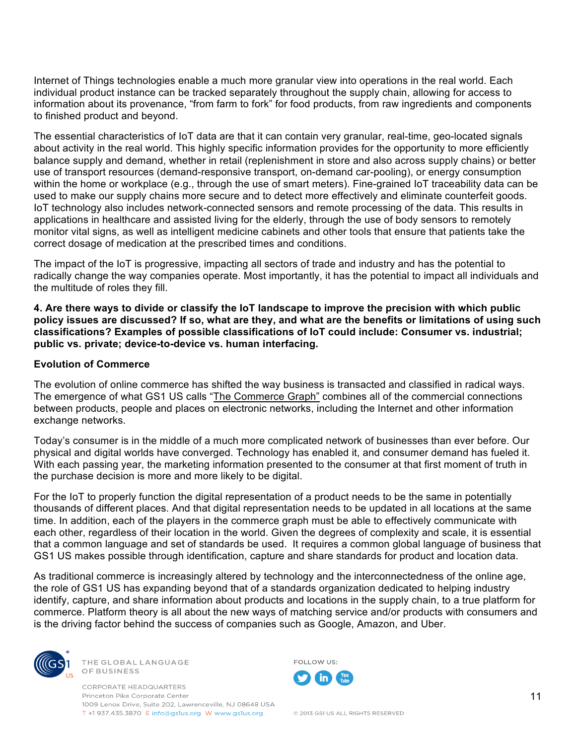Internet of Things technologies enable a much more granular view into operations in the real world. Each individual product instance can be tracked separately throughout the supply chain, allowing for access to information about its provenance, "from farm to fork" for food products, from raw ingredients and components to finished product and beyond.

The essential characteristics of IoT data are that it can contain very granular, real-time, geo-located signals about activity in the real world. This highly specific information provides for the opportunity to more efficiently balance supply and demand, whether in retail (replenishment in store and also across supply chains) or better use of transport resources (demand-responsive transport, on-demand car-pooling), or energy consumption within the home or workplace (e.g., through the use of smart meters). Fine-grained IoT traceability data can be used to make our supply chains more secure and to detect more effectively and eliminate counterfeit goods. IoT technology also includes network-connected sensors and remote processing of the data. This results in applications in healthcare and assisted living for the elderly, through the use of body sensors to remotely monitor vital signs, as well as intelligent medicine cabinets and other tools that ensure that patients take the correct dosage of medication at the prescribed times and conditions.

The impact of the IoT is progressive, impacting all sectors of trade and industry and has the potential to radically change the way companies operate. Most importantly, it has the potential to impact all individuals and the multitude of roles they fill.

**4. Are there ways to divide or classify the IoT landscape to improve the precision with which public policy issues are discussed? If so, what are they, and what are the benefits or limitations of using such classifications? Examples of possible classifications of IoT could include: Consumer vs. industrial; public vs. private; device-to-device vs. human interfacing.**

## **Evolution of Commerce**

The evolution of online commerce has shifted the way business is transacted and classified in radical ways. The emergence of what GS1 US calls "The Commerce Graph" combines all of the commercial connections between products, people and places on electronic networks, including the Internet and other information exchange networks.

Today's consumer is in the middle of a much more complicated network of businesses than ever before. Our physical and digital worlds have converged. Technology has enabled it, and consumer demand has fueled it. With each passing year, the marketing information presented to the consumer at that first moment of truth in the purchase decision is more and more likely to be digital.

For the IoT to properly function the digital representation of a product needs to be the same in potentially thousands of different places. And that digital representation needs to be updated in all locations at the same time. In addition, each of the players in the commerce graph must be able to effectively communicate with each other, regardless of their location in the world. Given the degrees of complexity and scale, it is essential that a common language and set of standards be used. It requires a common global language of business that GS1 US makes possible through identification, capture and share standards for product and location data.

As traditional commerce is increasingly altered by technology and the interconnectedness of the online age, the role of GS1 US has expanding beyond that of a standards organization dedicated to helping industry identify, capture, and share information about products and locations in the supply chain, to a true platform for commerce. Platform theory is all about the new ways of matching service and/or products with consumers and is the driving factor behind the success of companies such as Google, Amazon, and Uber.



THE GLOBAL LANGUAGE **OFBUSINESS** 

CORPORATE HEADQUARTERS Princeton Pike Corporate Center 1009 Lenox Drive, Suite 202, Lawrenceville, NJ 08648 USA T +1 937.435.3870 E info@gs1us.org W www.gs1us.org

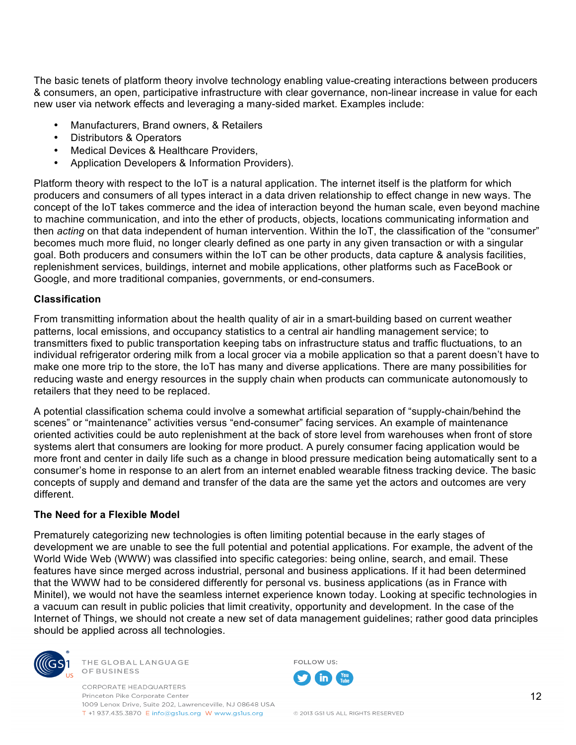The basic tenets of platform theory involve technology enabling value-creating interactions between producers & consumers, an open, participative infrastructure with clear governance, non-linear increase in value for each new user via network effects and leveraging a many-sided market. Examples include:

- Manufacturers, Brand owners, & Retailers
- Distributors & Operators
- Medical Devices & Healthcare Providers,
- Application Developers & Information Providers).

Platform theory with respect to the IoT is a natural application. The internet itself is the platform for which producers and consumers of all types interact in a data driven relationship to effect change in new ways. The concept of the IoT takes commerce and the idea of interaction beyond the human scale, even beyond machine to machine communication, and into the ether of products, objects, locations communicating information and then *acting* on that data independent of human intervention. Within the IoT, the classification of the "consumer" becomes much more fluid, no longer clearly defined as one party in any given transaction or with a singular goal. Both producers and consumers within the IoT can be other products, data capture & analysis facilities, replenishment services, buildings, internet and mobile applications, other platforms such as FaceBook or Google, and more traditional companies, governments, or end-consumers.

#### **Classification**

From transmitting information about the health quality of air in a smart-building based on current weather patterns, local emissions, and occupancy statistics to a central air handling management service; to transmitters fixed to public transportation keeping tabs on infrastructure status and traffic fluctuations, to an individual refrigerator ordering milk from a local grocer via a mobile application so that a parent doesn't have to make one more trip to the store, the IoT has many and diverse applications. There are many possibilities for reducing waste and energy resources in the supply chain when products can communicate autonomously to retailers that they need to be replaced.

A potential classification schema could involve a somewhat artificial separation of "supply-chain/behind the scenes" or "maintenance" activities versus "end-consumer" facing services. An example of maintenance oriented activities could be auto replenishment at the back of store level from warehouses when front of store systems alert that consumers are looking for more product. A purely consumer facing application would be more front and center in daily life such as a change in blood pressure medication being automatically sent to a consumer's home in response to an alert from an internet enabled wearable fitness tracking device. The basic concepts of supply and demand and transfer of the data are the same yet the actors and outcomes are very different.

#### **The Need for a Flexible Model**

Prematurely categorizing new technologies is often limiting potential because in the early stages of development we are unable to see the full potential and potential applications. For example, the advent of the World Wide Web (WWW) was classified into specific categories: being online, search, and email. These features have since merged across industrial, personal and business applications. If it had been determined that the WWW had to be considered differently for personal vs. business applications (as in France with Minitel), we would not have the seamless internet experience known today. Looking at specific technologies in a vacuum can result in public policies that limit creativity, opportunity and development. In the case of the Internet of Things, we should not create a new set of data management guidelines; rather good data principles should be applied across all technologies.



THE GLOBAL LANGUAGE **OFBUSINESS** 

CORPORATE HEADQUARTERS Princeton Pike Corporate Center 1009 Lenox Drive, Suite 202, Lawrenceville, NJ 08648 USA T +1 937.435.3870 E info@gs1us.org W www.gs1us.org



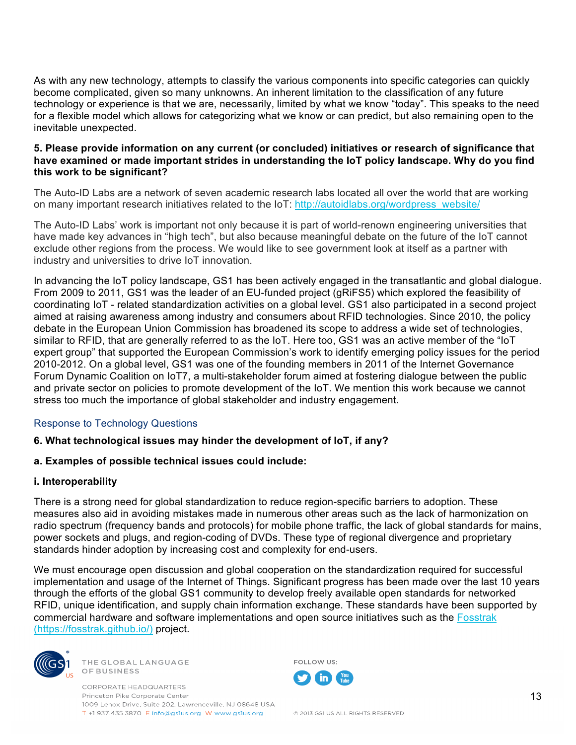As with any new technology, attempts to classify the various components into specific categories can quickly become complicated, given so many unknowns. An inherent limitation to the classification of any future technology or experience is that we are, necessarily, limited by what we know "today". This speaks to the need for a flexible model which allows for categorizing what we know or can predict, but also remaining open to the inevitable unexpected.

## **5. Please provide information on any current (or concluded) initiatives or research of significance that have examined or made important strides in understanding the IoT policy landscape. Why do you find this work to be significant?**

The Auto-ID Labs are a network of seven academic research labs located all over the world that are working on many important research initiatives related to the IoT: http://autoidlabs.org/wordpress\_website/

The Auto-ID Labs' work is important not only because it is part of world-renown engineering universities that have made key advances in "high tech", but also because meaningful debate on the future of the IoT cannot exclude other regions from the process. We would like to see government look at itself as a partner with industry and universities to drive IoT innovation.

In advancing the IoT policy landscape, GS1 has been actively engaged in the transatlantic and global dialogue. From 2009 to 2011, GS1 was the leader of an EU-funded project (gRiFS5) which explored the feasibility of coordinating IoT - related standardization activities on a global level. GS1 also participated in a second project aimed at raising awareness among industry and consumers about RFID technologies. Since 2010, the policy debate in the European Union Commission has broadened its scope to address a wide set of technologies, similar to RFID, that are generally referred to as the IoT. Here too, GS1 was an active member of the "IoT expert group" that supported the European Commission's work to identify emerging policy issues for the period 2010-2012. On a global level, GS1 was one of the founding members in 2011 of the Internet Governance Forum Dynamic Coalition on IoT7, a multi-stakeholder forum aimed at fostering dialogue between the public and private sector on policies to promote development of the IoT. We mention this work because we cannot stress too much the importance of global stakeholder and industry engagement.

## Response to Technology Questions

## **6. What technological issues may hinder the development of IoT, if any?**

## **a. Examples of possible technical issues could include:**

## **i. Interoperability**

There is a strong need for global standardization to reduce region-specific barriers to adoption. These measures also aid in avoiding mistakes made in numerous other areas such as the lack of harmonization on radio spectrum (frequency bands and protocols) for mobile phone traffic, the lack of global standards for mains, power sockets and plugs, and region-coding of DVDs. These type of regional divergence and proprietary standards hinder adoption by increasing cost and complexity for end-users.

We must encourage open discussion and global cooperation on the standardization required for successful implementation and usage of the Internet of Things. Significant progress has been made over the last 10 years through the efforts of the global GS1 community to develop freely available open standards for networked RFID, unique identification, and supply chain information exchange. These standards have been supported by commercial hardware and software implementations and open source initiatives such as the Fosstrak (https://fosstrak.github.io/) project.



THE GLOBAL LANGUAGE **OFBUSINESS** 

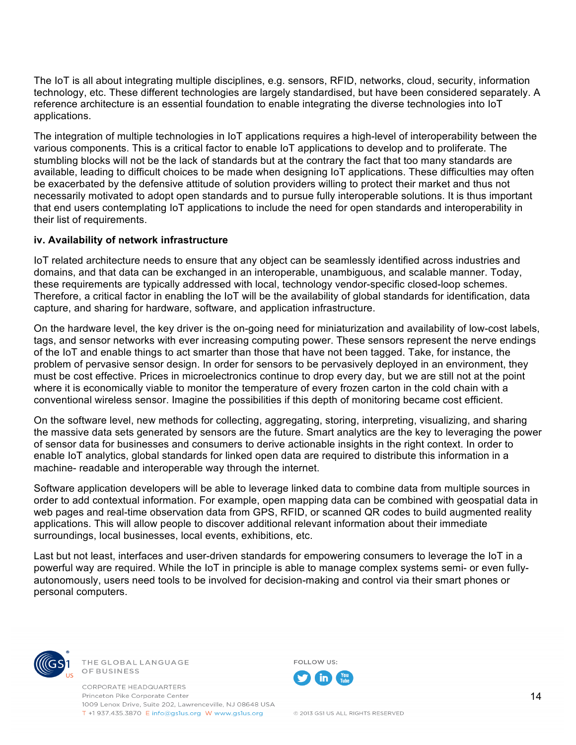The IoT is all about integrating multiple disciplines, e.g. sensors, RFID, networks, cloud, security, information technology, etc. These different technologies are largely standardised, but have been considered separately. A reference architecture is an essential foundation to enable integrating the diverse technologies into IoT applications.

The integration of multiple technologies in IoT applications requires a high-level of interoperability between the various components. This is a critical factor to enable IoT applications to develop and to proliferate. The stumbling blocks will not be the lack of standards but at the contrary the fact that too many standards are available, leading to difficult choices to be made when designing IoT applications. These difficulties may often be exacerbated by the defensive attitude of solution providers willing to protect their market and thus not necessarily motivated to adopt open standards and to pursue fully interoperable solutions. It is thus important that end users contemplating IoT applications to include the need for open standards and interoperability in their list of requirements.

## **iv. Availability of network infrastructure**

IoT related architecture needs to ensure that any object can be seamlessly identified across industries and domains, and that data can be exchanged in an interoperable, unambiguous, and scalable manner. Today, these requirements are typically addressed with local, technology vendor-specific closed-loop schemes. Therefore, a critical factor in enabling the IoT will be the availability of global standards for identification, data capture, and sharing for hardware, software, and application infrastructure.

On the hardware level, the key driver is the on-going need for miniaturization and availability of low-cost labels, tags, and sensor networks with ever increasing computing power. These sensors represent the nerve endings of the IoT and enable things to act smarter than those that have not been tagged. Take, for instance, the problem of pervasive sensor design. In order for sensors to be pervasively deployed in an environment, they must be cost effective. Prices in microelectronics continue to drop every day, but we are still not at the point where it is economically viable to monitor the temperature of every frozen carton in the cold chain with a conventional wireless sensor. Imagine the possibilities if this depth of monitoring became cost efficient.

On the software level, new methods for collecting, aggregating, storing, interpreting, visualizing, and sharing the massive data sets generated by sensors are the future. Smart analytics are the key to leveraging the power of sensor data for businesses and consumers to derive actionable insights in the right context. In order to enable IoT analytics, global standards for linked open data are required to distribute this information in a machine- readable and interoperable way through the internet.

Software application developers will be able to leverage linked data to combine data from multiple sources in order to add contextual information. For example, open mapping data can be combined with geospatial data in web pages and real-time observation data from GPS, RFID, or scanned QR codes to build augmented reality applications. This will allow people to discover additional relevant information about their immediate surroundings, local businesses, local events, exhibitions, etc.

Last but not least, interfaces and user-driven standards for empowering consumers to leverage the IoT in a powerful way are required. While the IoT in principle is able to manage complex systems semi- or even fullyautonomously, users need tools to be involved for decision-making and control via their smart phones or personal computers.



THE GLOBAL LANGUAGE **OFBUSINESS** 

CORPORATE HEADQUARTERS Princeton Pike Corporate Center 1009 Lenox Drive, Suite 202, Lawrenceville, NJ 08648 USA T +1 937.435.3870 E info@gs1us.org W www.gs1us.org

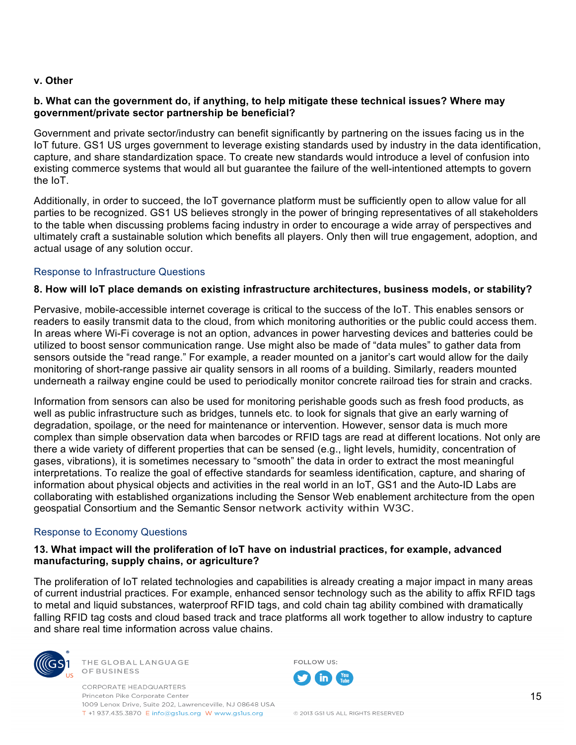#### **v. Other**

#### **b. What can the government do, if anything, to help mitigate these technical issues? Where may government/private sector partnership be beneficial?**

Government and private sector/industry can benefit significantly by partnering on the issues facing us in the IoT future. GS1 US urges government to leverage existing standards used by industry in the data identification, capture, and share standardization space. To create new standards would introduce a level of confusion into existing commerce systems that would all but guarantee the failure of the well-intentioned attempts to govern the IoT.

Additionally, in order to succeed, the IoT governance platform must be sufficiently open to allow value for all parties to be recognized. GS1 US believes strongly in the power of bringing representatives of all stakeholders to the table when discussing problems facing industry in order to encourage a wide array of perspectives and ultimately craft a sustainable solution which benefits all players. Only then will true engagement, adoption, and actual usage of any solution occur.

## Response to Infrastructure Questions

#### **8. How will IoT place demands on existing infrastructure architectures, business models, or stability?**

Pervasive, mobile-accessible internet coverage is critical to the success of the IoT. This enables sensors or readers to easily transmit data to the cloud, from which monitoring authorities or the public could access them. In areas where Wi-Fi coverage is not an option, advances in power harvesting devices and batteries could be utilized to boost sensor communication range. Use might also be made of "data mules" to gather data from sensors outside the "read range." For example, a reader mounted on a janitor's cart would allow for the daily monitoring of short-range passive air quality sensors in all rooms of a building. Similarly, readers mounted underneath a railway engine could be used to periodically monitor concrete railroad ties for strain and cracks.

Information from sensors can also be used for monitoring perishable goods such as fresh food products, as well as public infrastructure such as bridges, tunnels etc. to look for signals that give an early warning of degradation, spoilage, or the need for maintenance or intervention. However, sensor data is much more complex than simple observation data when barcodes or RFID tags are read at different locations. Not only are there a wide variety of different properties that can be sensed (e.g., light levels, humidity, concentration of gases, vibrations), it is sometimes necessary to "smooth" the data in order to extract the most meaningful interpretations. To realize the goal of effective standards for seamless identification, capture, and sharing of information about physical objects and activities in the real world in an IoT, GS1 and the Auto-ID Labs are collaborating with established organizations including the Sensor Web enablement architecture from the open geospatial Consortium and the Semantic Sensor network activity within W3C.

#### Response to Economy Questions

#### **13. What impact will the proliferation of IoT have on industrial practices, for example, advanced manufacturing, supply chains, or agriculture?**

The proliferation of IoT related technologies and capabilities is already creating a major impact in many areas of current industrial practices. For example, enhanced sensor technology such as the ability to affix RFID tags to metal and liquid substances, waterproof RFID tags, and cold chain tag ability combined with dramatically falling RFID tag costs and cloud based track and trace platforms all work together to allow industry to capture and share real time information across value chains.



THE GLOBAL LANGUAGE **OFBUSINESS** 

CORPORATE HEADQUARTERS Princeton Pike Corporate Center 1009 Lenox Drive, Suite 202, Lawrenceville, NJ 08648 USA T +1 937.435.3870 E info@gs1us.org W www.gs1us.org

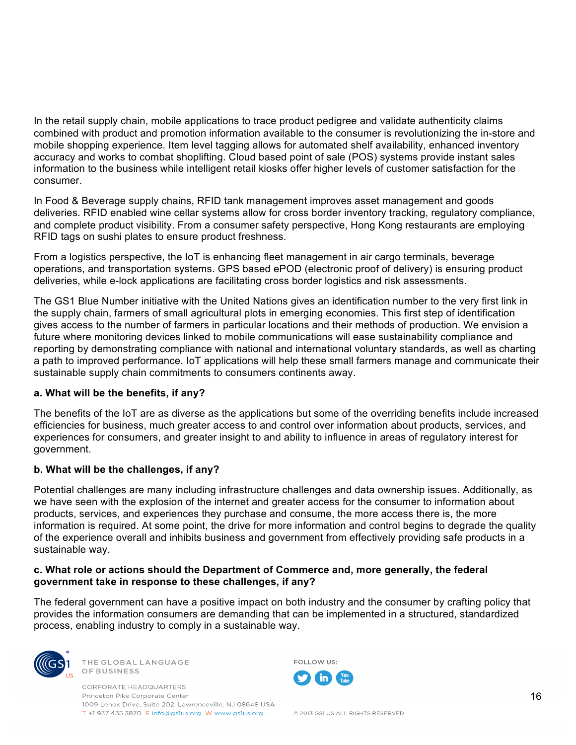In the retail supply chain, mobile applications to trace product pedigree and validate authenticity claims combined with product and promotion information available to the consumer is revolutionizing the in-store and mobile shopping experience. Item level tagging allows for automated shelf availability, enhanced inventory accuracy and works to combat shoplifting. Cloud based point of sale (POS) systems provide instant sales information to the business while intelligent retail kiosks offer higher levels of customer satisfaction for the consumer.

In Food & Beverage supply chains, RFID tank management improves asset management and goods deliveries. RFID enabled wine cellar systems allow for cross border inventory tracking, regulatory compliance, and complete product visibility. From a consumer safety perspective, Hong Kong restaurants are employing RFID tags on sushi plates to ensure product freshness.

From a logistics perspective, the IoT is enhancing fleet management in air cargo terminals, beverage operations, and transportation systems. GPS based ePOD (electronic proof of delivery) is ensuring product deliveries, while e-lock applications are facilitating cross border logistics and risk assessments.

The GS1 Blue Number initiative with the United Nations gives an identification number to the very first link in the supply chain, farmers of small agricultural plots in emerging economies. This first step of identification gives access to the number of farmers in particular locations and their methods of production. We envision a future where monitoring devices linked to mobile communications will ease sustainability compliance and reporting by demonstrating compliance with national and international voluntary standards, as well as charting a path to improved performance. IoT applications will help these small farmers manage and communicate their sustainable supply chain commitments to consumers continents away.

## **a. What will be the benefits, if any?**

The benefits of the IoT are as diverse as the applications but some of the overriding benefits include increased efficiencies for business, much greater access to and control over information about products, services, and experiences for consumers, and greater insight to and ability to influence in areas of regulatory interest for government.

## **b. What will be the challenges, if any?**

Potential challenges are many including infrastructure challenges and data ownership issues. Additionally, as we have seen with the explosion of the internet and greater access for the consumer to information about products, services, and experiences they purchase and consume, the more access there is, the more information is required. At some point, the drive for more information and control begins to degrade the quality of the experience overall and inhibits business and government from effectively providing safe products in a sustainable way.

## **c. What role or actions should the Department of Commerce and, more generally, the federal government take in response to these challenges, if any?**

The federal government can have a positive impact on both industry and the consumer by crafting policy that provides the information consumers are demanding that can be implemented in a structured, standardized process, enabling industry to comply in a sustainable way.



THE GLOBAL LANGUAGE **OFBUSINESS** 

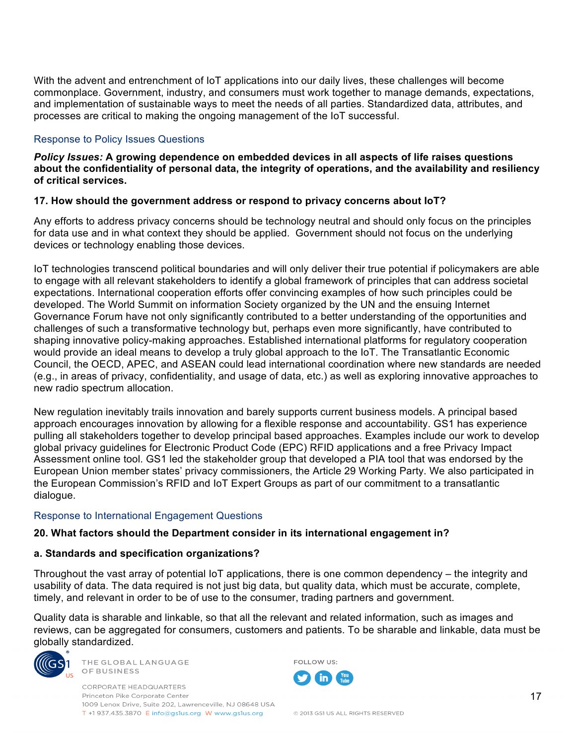With the advent and entrenchment of IoT applications into our daily lives, these challenges will become commonplace. Government, industry, and consumers must work together to manage demands, expectations, and implementation of sustainable ways to meet the needs of all parties. Standardized data, attributes, and processes are critical to making the ongoing management of the IoT successful.

# Response to Policy Issues Questions

*Policy Issues:* **A growing dependence on embedded devices in all aspects of life raises questions about the confidentiality of personal data, the integrity of operations, and the availability and resiliency of critical services.**

# **17. How should the government address or respond to privacy concerns about IoT?**

Any efforts to address privacy concerns should be technology neutral and should only focus on the principles for data use and in what context they should be applied. Government should not focus on the underlying devices or technology enabling those devices.

IoT technologies transcend political boundaries and will only deliver their true potential if policymakers are able to engage with all relevant stakeholders to identify a global framework of principles that can address societal expectations. International cooperation efforts offer convincing examples of how such principles could be developed. The World Summit on information Society organized by the UN and the ensuing Internet Governance Forum have not only significantly contributed to a better understanding of the opportunities and challenges of such a transformative technology but, perhaps even more significantly, have contributed to shaping innovative policy-making approaches. Established international platforms for regulatory cooperation would provide an ideal means to develop a truly global approach to the IoT. The Transatlantic Economic Council, the OECD, APEC, and ASEAN could lead international coordination where new standards are needed (e.g., in areas of privacy, confidentiality, and usage of data, etc.) as well as exploring innovative approaches to new radio spectrum allocation.

New regulation inevitably trails innovation and barely supports current business models. A principal based approach encourages innovation by allowing for a flexible response and accountability. GS1 has experience pulling all stakeholders together to develop principal based approaches. Examples include our work to develop global privacy guidelines for Electronic Product Code (EPC) RFID applications and a free Privacy Impact Assessment online tool. GS1 led the stakeholder group that developed a PIA tool that was endorsed by the European Union member states' privacy commissioners, the Article 29 Working Party. We also participated in the European Commission's RFID and IoT Expert Groups as part of our commitment to a transatlantic dialogue.

## Response to International Engagement Questions

## **20. What factors should the Department consider in its international engagement in?**

## **a. Standards and specification organizations?**

Throughout the vast array of potential IoT applications, there is one common dependency – the integrity and usability of data. The data required is not just big data, but quality data, which must be accurate, complete, timely, and relevant in order to be of use to the consumer, trading partners and government.

Quality data is sharable and linkable, so that all the relevant and related information, such as images and reviews, can be aggregated for consumers, customers and patients. To be sharable and linkable, data must be globally standardized.



THE GLOBAL LANGUAGE **OFBUSINESS** 

CORPORATE HEADQUARTERS Princeton Pike Corporate Center 1009 Lenox Drive, Suite 202, Lawrenceville, NJ 08648 USA T +1 937.435.3870 E info@gs1us.org W www.gs1us.org



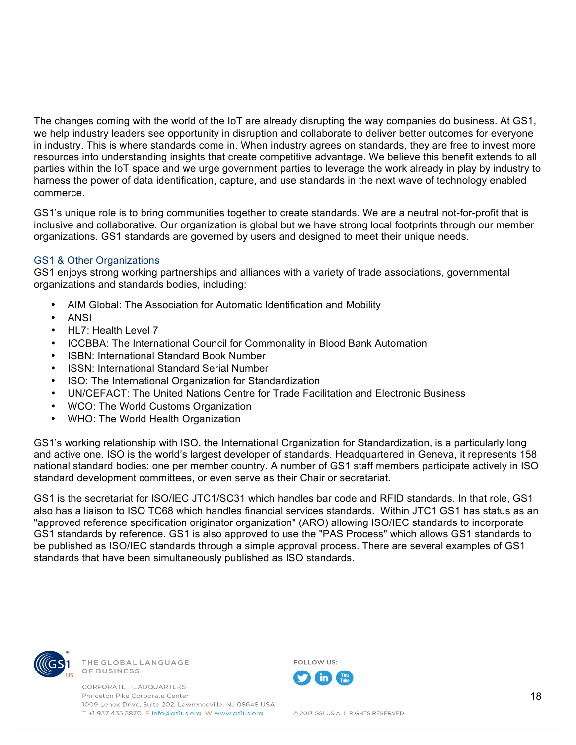The changes coming with the world of the IoT are already disrupting the way companies do business. At GS1, we help industry leaders see opportunity in disruption and collaborate to deliver better outcomes for everyone in industry. This is where standards come in. When industry agrees on standards, they are free to invest more resources into understanding insights that create competitive advantage. We believe this benefit extends to all parties within the IoT space and we urge government parties to leverage the work already in play by industry to harness the power of data identification, capture, and use standards in the next wave of technology enabled commerce.

GS1's unique role is to bring communities together to create standards. We are a neutral not-for-profit that is inclusive and collaborative. Our organization is global but we have strong local footprints through our member organizations. GS1 standards are governed by users and designed to meet their unique needs.

# GS1 & Other Organizations

GS1 enjoys strong working partnerships and alliances with a variety of trade associations, governmental organizations and standards bodies, including:

- AIM Global: The Association for Automatic Identification and Mobility
- ANSI
- HL7: Health Level 7
- ICCBBA: The International Council for Commonality in Blood Bank Automation
- ISBN: International Standard Book Number
- ISSN: International Standard Serial Number
- ISO: The International Organization for Standardization
- UN/CEFACT: The United Nations Centre for Trade Facilitation and Electronic Business
- WCO: The World Customs Organization<br>• WHO: The World Hoalth Organization
- WHO: The World Health Organization

GS1's working relationship with ISO, the International Organization for Standardization, is a particularly long and active one. ISO is the world's largest developer of standards. Headquartered in Geneva, it represents 158 national standard bodies: one per member country. A number of GS1 staff members participate actively in ISO standard development committees, or even serve as their Chair or secretariat.

GS1 is the secretariat for ISO/IEC JTC1/SC31 which handles bar code and RFID standards. In that role, GS1 also has a liaison to ISO TC68 which handles financial services standards. Within JTC1 GS1 has status as an "approved reference specification originator organization" (ARO) allowing ISO/IEC standards to incorporate GS1 standards by reference. GS1 is also approved to use the "PAS Process" which allows GS1 standards to be published as ISO/IEC standards through a simple approval process. There are several examples of GS1 standards that have been simultaneously published as ISO standards.



THE GLOBAL LANGUAGE **OFBUSINESS** 

CORPORATE HEADQUARTERS Princeton Pike Corporate Center 1009 Lenox Drive, Suite 202, Lawrenceville, NJ 08648 USA T +1 937.435.3870 E info@gs1us.org W www.gs1us.org

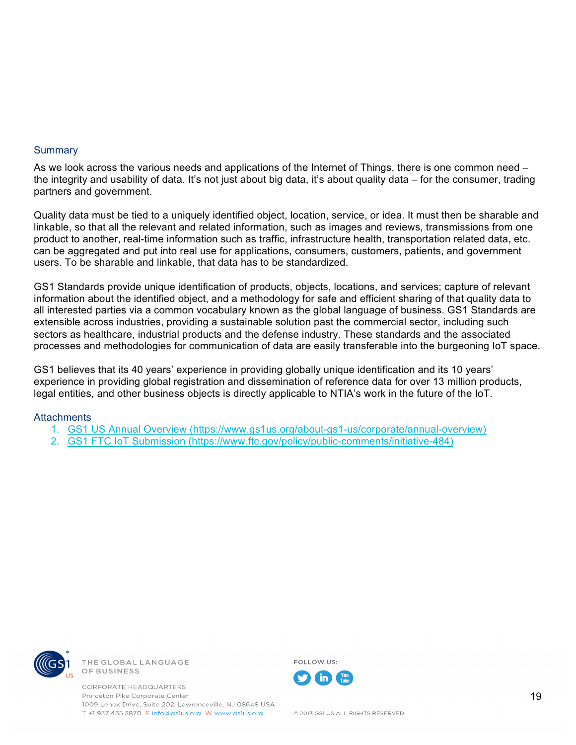#### **Summary**

As we look across the various needs and applications of the Internet of Things, there is one common need – the integrity and usability of data. It's not just about big data, it's about quality data – for the consumer, trading partners and government.

Quality data must be tied to a uniquely identified object, location, service, or idea. It must then be sharable and linkable, so that all the relevant and related information, such as images and reviews, transmissions from one product to another, real-time information such as traffic, infrastructure health, transportation related data, etc. can be aggregated and put into real use for applications, consumers, customers, patients, and government users. To be sharable and linkable, that data has to be standardized.

GS1 Standards provide unique identification of products, objects, locations, and services; capture of relevant information about the identified object, and a methodology for safe and efficient sharing of that quality data to all interested parties via a common vocabulary known as the global language of business. GS1 Standards are extensible across industries, providing a sustainable solution past the commercial sector, including such sectors as healthcare, industrial products and the defense industry. These standards and the associated processes and methodologies for communication of data are easily transferable into the burgeoning IoT space.

GS1 believes that its 40 years' experience in providing globally unique identification and its 10 years' experience in providing global registration and dissemination of reference data for over 13 million products, legal entities, and other business objects is directly applicable to NTIA's work in the future of the IoT.

#### **Attachments**

- 1. GS1 US Annual Overview (https://www.gs1us.org/about-gs1-us/corporate/annual-overview)
- 2. GS1 FTC IoT Submission (https://www.ftc.gov/policy/public-comments/initiative-484)



THE GLOBAL LANGUAGE **OFBUSINESS**